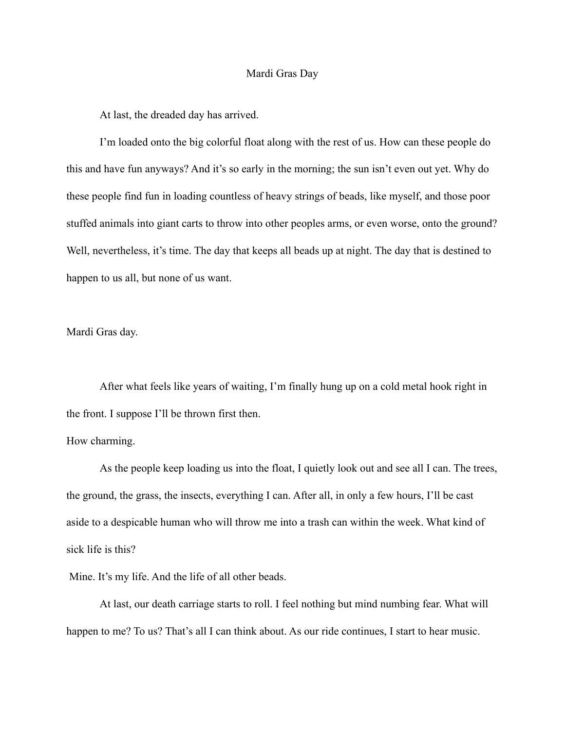## Mardi Gras Day

At last, the dreaded day has arrived.

I'm loaded onto the big colorful float along with the rest of us. How can these people do this and have fun anyways? And it's so early in the morning; the sun isn't even out yet. Why do these people find fun in loading countless of heavy strings of beads, like myself, and those poor stuffed animals into giant carts to throw into other peoples arms, or even worse, onto the ground? Well, nevertheless, it's time. The day that keeps all beads up at night. The day that is destined to happen to us all, but none of us want.

Mardi Gras day.

After what feels like years of waiting, I'm finally hung up on a cold metal hook right in the front. I suppose I'll be thrown first then.

## How charming.

As the people keep loading us into the float, I quietly look out and see all I can. The trees, the ground, the grass, the insects, everything I can. After all, in only a few hours, I'll be cast aside to a despicable human who will throw me into a trash can within the week. What kind of sick life is this?

Mine. It's my life. And the life of all other beads.

At last, our death carriage starts to roll. I feel nothing but mind numbing fear. What will happen to me? To us? That's all I can think about. As our ride continues, I start to hear music.